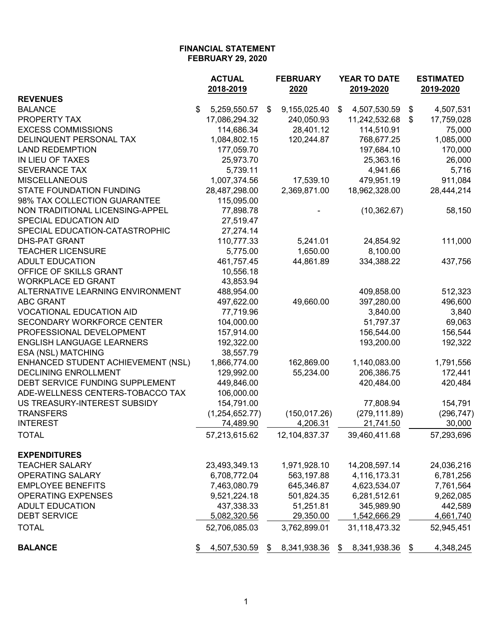|                                    | <b>ACTUAL</b>      | <b>FEBRUARY</b>    | YEAR TO DATE       | <b>ESTIMATED</b> |  |  |
|------------------------------------|--------------------|--------------------|--------------------|------------------|--|--|
|                                    | 2018-2019          | 2020               | 2019-2020          | 2019-2020        |  |  |
| <b>REVENUES</b>                    |                    |                    |                    |                  |  |  |
| <b>BALANCE</b>                     | \$<br>5,259,550.57 | 9,155,025.40<br>\$ | \$<br>4,507,530.59 | \$<br>4,507,531  |  |  |
| PROPERTY TAX                       | 17,086,294.32      | 240,050.93         | 11,242,532.68      | 17,759,028<br>\$ |  |  |
| <b>EXCESS COMMISSIONS</b>          | 114,686.34         | 28,401.12          | 114,510.91         | 75,000           |  |  |
| DELINQUENT PERSONAL TAX            | 1,084,802.15       | 120,244.87         | 768,677.25         | 1,085,000        |  |  |
| <b>LAND REDEMPTION</b>             | 177,059.70         |                    | 197,684.10         | 170,000          |  |  |
| IN LIEU OF TAXES                   | 25,973.70          |                    | 25,363.16          | 26,000           |  |  |
| <b>SEVERANCE TAX</b>               | 5,739.11           |                    | 4,941.66           | 5,716            |  |  |
| <b>MISCELLANEOUS</b>               | 1,007,374.56       | 17,539.10          | 479,951.19         | 911,084          |  |  |
| <b>STATE FOUNDATION FUNDING</b>    | 28,487,298.00      | 2,369,871.00       | 18,962,328.00      | 28,444,214       |  |  |
| 98% TAX COLLECTION GUARANTEE       | 115,095.00         |                    |                    |                  |  |  |
| NON TRADITIONAL LICENSING-APPEL    | 77,898.78          |                    | (10, 362.67)       | 58,150           |  |  |
| SPECIAL EDUCATION AID              | 27,519.47          |                    |                    |                  |  |  |
| SPECIAL EDUCATION-CATASTROPHIC     | 27,274.14          |                    |                    |                  |  |  |
| DHS-PAT GRANT                      | 110,777.33         | 5,241.01           | 24,854.92          | 111,000          |  |  |
| <b>TEACHER LICENSURE</b>           | 5,775.00           | 1,650.00           | 8,100.00           |                  |  |  |
| <b>ADULT EDUCATION</b>             | 461,757.45         | 44,861.89          | 334,388.22         | 437,756          |  |  |
| OFFICE OF SKILLS GRANT             | 10,556.18          |                    |                    |                  |  |  |
| <b>WORKPLACE ED GRANT</b>          | 43,853.94          |                    |                    |                  |  |  |
| ALTERNATIVE LEARNING ENVIRONMENT   | 488,954.00         |                    | 409,858.00         | 512,323          |  |  |
| <b>ABC GRANT</b>                   | 497,622.00         | 49,660.00          | 397,280.00         | 496,600          |  |  |
| <b>VOCATIONAL EDUCATION AID</b>    | 77,719.96          |                    | 3,840.00           | 3,840            |  |  |
| SECONDARY WORKFORCE CENTER         | 104,000.00         |                    | 51,797.37          | 69,063           |  |  |
| PROFESSIONAL DEVELOPMENT           | 157,914.00         |                    | 156,544.00         | 156,544          |  |  |
| <b>ENGLISH LANGUAGE LEARNERS</b>   | 192,322.00         |                    | 193,200.00         | 192,322          |  |  |
| ESA (NSL) MATCHING                 | 38,557.79          |                    |                    |                  |  |  |
| ENHANCED STUDENT ACHIEVEMENT (NSL) | 1,866,774.00       | 162,869.00         | 1,140,083.00       | 1,791,556        |  |  |
| <b>DECLINING ENROLLMENT</b>        | 129,992.00         | 55,234.00          | 206,386.75         | 172,441          |  |  |
| DEBT SERVICE FUNDING SUPPLEMENT    | 449,846.00         |                    | 420,484.00         | 420,484          |  |  |
| ADE-WELLNESS CENTERS-TOBACCO TAX   | 106,000.00         |                    |                    |                  |  |  |
| US TREASURY-INTEREST SUBSIDY       | 154,791.00         |                    | 77,808.94          | 154,791          |  |  |
| <b>TRANSFERS</b>                   | (1,254,652.77)     | (150, 017.26)      | (279, 111.89)      | (296, 747)       |  |  |
| <b>INTEREST</b>                    | <u>74,489.90</u>   | 4,206.31           | 21,741.50          | 30,000           |  |  |
| <b>TOTAL</b>                       | 57,213,615.62      | 12,104,837.37      | 39,460,411.68      | 57,293,696       |  |  |
| <b>EXPENDITURES</b>                |                    |                    |                    |                  |  |  |
| <b>TEACHER SALARY</b>              | 23,493,349.13      | 1,971,928.10       | 14,208,597.14      | 24,036,216       |  |  |
| <b>OPERATING SALARY</b>            | 6,708,772.04       | 563,197.88         | 4,116,173.31       | 6,781,256        |  |  |
| <b>EMPLOYEE BENEFITS</b>           | 7,463,080.79       | 645,346.87         | 4,623,534.07       | 7,761,564        |  |  |
| <b>OPERATING EXPENSES</b>          | 9,521,224.18       | 501,824.35         | 6,281,512.61       | 9,262,085        |  |  |
| <b>ADULT EDUCATION</b>             | 437,338.33         | 51,251.81          | 345,989.90         | 442,589          |  |  |
| <b>DEBT SERVICE</b>                | 5,082,320.56       | 29,350.00          | 1,542,666.29       | 4,661,740        |  |  |
|                                    |                    |                    |                    |                  |  |  |
| <b>TOTAL</b>                       | 52,706,085.03      | 3,762,899.01       | 31,118,473.32      | 52,945,451       |  |  |
| <b>BALANCE</b>                     | 4,507,530.59       | 8,341,938.36<br>\$ | 8,341,938.36<br>\$ | 4,348,245<br>\$  |  |  |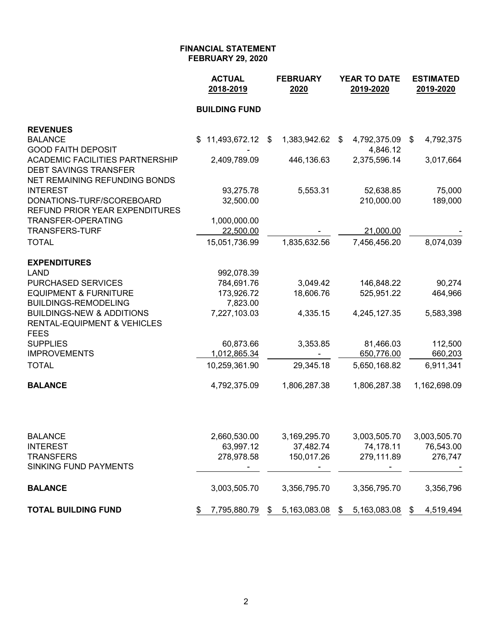|                                                                     | <b>ACTUAL</b><br>2018-2019 | <b>FEBRUARY</b><br>2020 | <b>YEAR TO DATE</b><br>2019-2020 | <b>ESTIMATED</b><br>2019-2020 |  |  |
|---------------------------------------------------------------------|----------------------------|-------------------------|----------------------------------|-------------------------------|--|--|
|                                                                     | <b>BUILDING FUND</b>       |                         |                                  |                               |  |  |
| <b>REVENUES</b>                                                     |                            |                         |                                  |                               |  |  |
| <b>BALANCE</b>                                                      | 11,493,672.12 \$<br>\$.    | 1,383,942.62            | 4,792,375.09<br>\$               | 4,792,375<br>\$               |  |  |
| <b>GOOD FAITH DEPOSIT</b><br><b>ACADEMIC FACILITIES PARTNERSHIP</b> | 2,409,789.09               | 446,136.63              | 4,846.12<br>2,375,596.14         | 3,017,664                     |  |  |
| <b>DEBT SAVINGS TRANSFER</b>                                        |                            |                         |                                  |                               |  |  |
| <b>NET REMAINING REFUNDING BONDS</b>                                |                            |                         |                                  |                               |  |  |
| <b>INTEREST</b><br>DONATIONS-TURF/SCOREBOARD                        | 93,275.78<br>32,500.00     | 5,553.31                | 52,638.85<br>210,000.00          | 75,000<br>189,000             |  |  |
| REFUND PRIOR YEAR EXPENDITURES                                      |                            |                         |                                  |                               |  |  |
| <b>TRANSFER-OPERATING</b>                                           | 1,000,000.00               |                         |                                  |                               |  |  |
| <b>TRANSFERS-TURF</b>                                               | 22,500.00                  |                         | 21,000.00                        |                               |  |  |
| <b>TOTAL</b>                                                        | 15,051,736.99              | 1,835,632.56            | 7,456,456.20                     | 8,074,039                     |  |  |
| <b>EXPENDITURES</b>                                                 |                            |                         |                                  |                               |  |  |
| <b>LAND</b>                                                         | 992,078.39                 |                         |                                  |                               |  |  |
| PURCHASED SERVICES                                                  | 784,691.76                 | 3,049.42                | 146,848.22                       | 90,274                        |  |  |
| <b>EQUIPMENT &amp; FURNITURE</b><br><b>BUILDINGS-REMODELING</b>     | 173,926.72<br>7,823.00     | 18,606.76               | 525,951.22                       | 464,966                       |  |  |
| <b>BUILDINGS-NEW &amp; ADDITIONS</b>                                | 7,227,103.03               | 4,335.15                | 4,245,127.35                     | 5,583,398                     |  |  |
| <b>RENTAL-EQUIPMENT &amp; VEHICLES</b>                              |                            |                         |                                  |                               |  |  |
| <b>FEES</b>                                                         |                            |                         |                                  |                               |  |  |
| <b>SUPPLIES</b><br><b>IMPROVEMENTS</b>                              | 60,873.66<br>1,012,865.34  | 3,353.85                | 81,466.03<br>650,776.00          | 112,500<br>660,203            |  |  |
| <b>TOTAL</b>                                                        | 10,259,361.90              | 29,345.18               | 5,650,168.82                     | 6,911,341                     |  |  |
|                                                                     |                            |                         |                                  |                               |  |  |
| <b>BALANCE</b>                                                      | 4,792,375.09               | 1,806,287.38            | 1,806,287.38                     | 1,162,698.09                  |  |  |
|                                                                     |                            |                         |                                  |                               |  |  |
| <b>BALANCE</b>                                                      | 2,660,530.00               | 3,169,295.70            | 3,003,505.70                     | 3,003,505.70                  |  |  |
| <b>INTEREST</b><br><b>TRANSFERS</b>                                 | 63,997.12<br>278,978.58    | 37,482.74<br>150,017.26 | 74,178.11<br>279,111.89          | 76,543.00<br>276,747          |  |  |
| SINKING FUND PAYMENTS                                               |                            |                         |                                  |                               |  |  |
| <b>BALANCE</b>                                                      | 3,003,505.70               | 3,356,795.70            | 3,356,795.70                     | 3,356,796                     |  |  |
|                                                                     |                            |                         |                                  |                               |  |  |
| <b>TOTAL BUILDING FUND</b>                                          | 7,795,880.79<br>\$         | 5,163,083.08<br>\$      | 5,163,083.08<br>\$               | 4,519,494<br>\$               |  |  |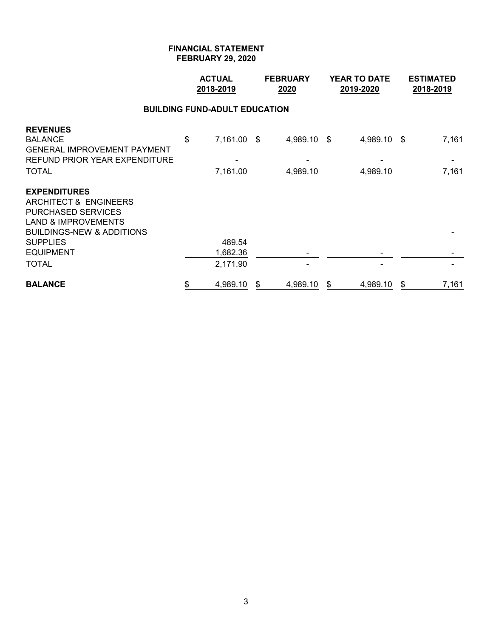|                                                                                                                                   | <b>ACTUAL</b><br>2018-2019 |                                      |   | <b>FEBRUARY</b><br>2020 | <b>YEAR TO DATE</b><br>2019-2020 | <b>ESTIMATED</b><br>2018-2019 |
|-----------------------------------------------------------------------------------------------------------------------------------|----------------------------|--------------------------------------|---|-------------------------|----------------------------------|-------------------------------|
|                                                                                                                                   |                            | <b>BUILDING FUND-ADULT EDUCATION</b> |   |                         |                                  |                               |
| <b>REVENUES</b><br><b>BALANCE</b><br>GENERAL IMPROVEMENT PAYMENT<br>REFUND PRIOR YEAR EXPENDITURE                                 | \$                         | 7,161.00 \$                          |   | 4,989.10 \$             | 4,989.10 \$                      | 7,161                         |
| TOTAL                                                                                                                             |                            | 7,161.00                             |   | 4,989.10                | 4,989.10                         | 7,161                         |
| <b>EXPENDITURES</b><br>ARCHITECT & ENGINEERS<br>PURCHASED SERVICES<br><b>LAND &amp; IMPROVEMENTS</b><br>BUILDINGS-NEW & ADDITIONS |                            |                                      |   |                         |                                  |                               |
| SUPPLIES                                                                                                                          |                            | 489.54                               |   |                         |                                  |                               |
| EQUIPMENT                                                                                                                         |                            | 1,682.36                             |   |                         |                                  |                               |
| TOTAL                                                                                                                             |                            | 2,171.90                             |   |                         |                                  |                               |
| <b>BALANCE</b>                                                                                                                    | \$                         | 4,989.10                             | S | 4,989.10                | \$<br>4,989.10                   | \$<br>7,161                   |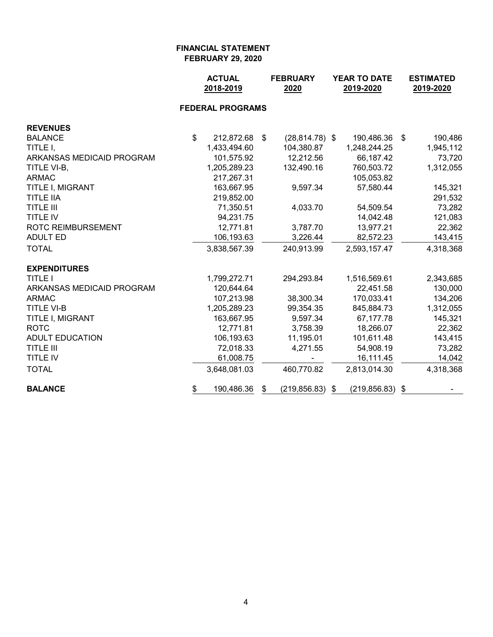|                           | <b>ACTUAL</b><br>2018-2019 |             | <b>FEBRUARY</b><br>2020 | <b>YEAR TO DATE</b><br>2019-2020 |                    |      | <b>ESTIMATED</b><br>2019-2020 |  |
|---------------------------|----------------------------|-------------|-------------------------|----------------------------------|--------------------|------|-------------------------------|--|
|                           | <b>FEDERAL PROGRAMS</b>    |             |                         |                                  |                    |      |                               |  |
| <b>REVENUES</b>           |                            |             |                         |                                  |                    |      |                               |  |
| <b>BALANCE</b>            | \$<br>212,872.68           | $$^{\circ}$ | $(28, 814.78)$ \$       |                                  | 190,486.36         | - \$ | 190,486                       |  |
| TITLE I,                  | 1,433,494.60               |             | 104,380.87              |                                  | 1,248,244.25       |      | 1,945,112                     |  |
| ARKANSAS MEDICAID PROGRAM | 101,575.92                 |             | 12,212.56               |                                  | 66,187.42          |      | 73,720                        |  |
| TITLE VI-B,               | 1,205,289.23               |             | 132,490.16              |                                  | 760,503.72         |      | 1,312,055                     |  |
| <b>ARMAC</b>              | 217,267.31                 |             |                         |                                  | 105,053.82         |      |                               |  |
| TITLE I, MIGRANT          | 163,667.95                 |             | 9,597.34                |                                  | 57,580.44          |      | 145,321                       |  |
| <b>TITLE IIA</b>          | 219,852.00                 |             |                         |                                  |                    |      | 291,532                       |  |
| <b>TITLE III</b>          | 71,350.51                  |             | 4,033.70                |                                  | 54,509.54          |      | 73,282                        |  |
| <b>TITLE IV</b>           | 94,231.75                  |             |                         |                                  | 14,042.48          |      | 121,083                       |  |
| <b>ROTC REIMBURSEMENT</b> | 12,771.81                  |             | 3,787.70                |                                  | 13,977.21          |      | 22,362                        |  |
| <b>ADULT ED</b>           | 106,193.63                 |             | 3,226.44                |                                  | 82,572.23          |      | 143,415                       |  |
| <b>TOTAL</b>              | 3,838,567.39               |             | 240,913.99              |                                  | 2,593,157.47       |      | 4,318,368                     |  |
| <b>EXPENDITURES</b>       |                            |             |                         |                                  |                    |      |                               |  |
| <b>TITLE I</b>            | 1,799,272.71               |             | 294,293.84              |                                  | 1,516,569.61       |      | 2,343,685                     |  |
| ARKANSAS MEDICAID PROGRAM | 120,644.64                 |             |                         |                                  | 22,451.58          |      | 130,000                       |  |
| <b>ARMAC</b>              | 107,213.98                 |             | 38,300.34               |                                  | 170,033.41         |      | 134,206                       |  |
| <b>TITLE VI-B</b>         | 1,205,289.23               |             | 99,354.35               |                                  | 845,884.73         |      | 1,312,055                     |  |
| TITLE I, MIGRANT          | 163,667.95                 |             | 9,597.34                |                                  | 67,177.78          |      | 145,321                       |  |
| <b>ROTC</b>               | 12,771.81                  |             | 3,758.39                |                                  | 18,266.07          |      | 22,362                        |  |
| <b>ADULT EDUCATION</b>    | 106,193.63                 |             | 11,195.01               |                                  | 101,611.48         |      | 143,415                       |  |
| <b>TITLE III</b>          | 72,018.33                  |             | 4,271.55                |                                  | 54,908.19          |      | 73,282                        |  |
| <b>TITLE IV</b>           | 61,008.75                  |             |                         |                                  | 16,111.45          |      | 14,042                        |  |
| <b>TOTAL</b>              | 3,648,081.03               |             | 460,770.82              |                                  | 2,813,014.30       |      | 4,318,368                     |  |
| <b>BALANCE</b>            | \$<br>190,486.36           | S           | (219, 856.83)           | \$                               | $(219, 856.83)$ \$ |      |                               |  |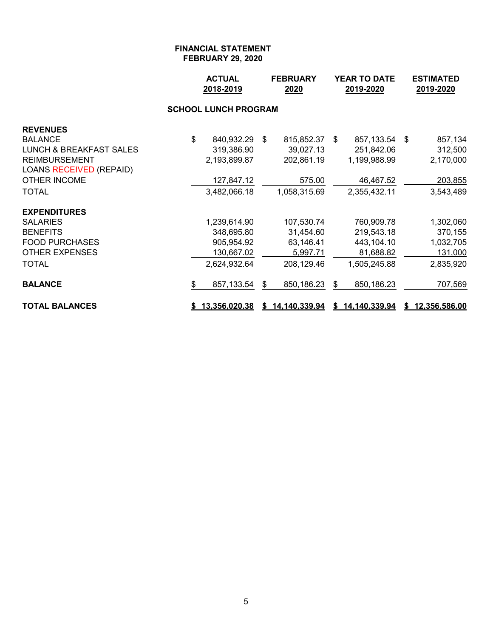|                                    | <b>ACTUAL</b><br>2018-2019 | <b>FEBRUARY</b><br>2020 |               | <b>YEAR TO DATE</b><br>2019-2020 |                 |    | <b>ESTIMATED</b><br>2019-2020 |
|------------------------------------|----------------------------|-------------------------|---------------|----------------------------------|-----------------|----|-------------------------------|
|                                    |                            |                         |               |                                  |                 |    |                               |
| <b>REVENUES</b>                    |                            |                         |               |                                  |                 |    |                               |
| <b>BALANCE</b>                     | \$<br>840,932.29           | \$                      | 815,852.37 \$ |                                  | 857,133.54      | \$ | 857,134                       |
| <b>LUNCH &amp; BREAKFAST SALES</b> | 319,386.90                 |                         | 39,027.13     |                                  | 251,842.06      |    | 312,500                       |
| <b>REIMBURSEMENT</b>               | 2,193,899.87               |                         | 202,861.19    |                                  | 1,199,988.99    |    | 2,170,000                     |
| <b>LOANS RECEIVED (REPAID)</b>     |                            |                         |               |                                  |                 |    |                               |
| <b>OTHER INCOME</b>                | 127,847.12                 |                         | 575.00        |                                  | 46,467.52       |    | 203,855                       |
| <b>TOTAL</b>                       | 3,482,066.18               |                         | 1,058,315.69  |                                  | 2,355,432.11    |    | 3,543,489                     |
| <b>EXPENDITURES</b>                |                            |                         |               |                                  |                 |    |                               |
| <b>SALARIES</b>                    | 1,239,614.90               |                         | 107,530.74    |                                  | 760,909.78      |    | 1,302,060                     |
| <b>BENEFITS</b>                    | 348,695.80                 |                         | 31,454.60     |                                  | 219,543.18      |    | 370,155                       |
| <b>FOOD PURCHASES</b>              | 905,954.92                 |                         | 63,146.41     |                                  | 443,104.10      |    | 1,032,705                     |
| <b>OTHER EXPENSES</b>              | 130,667.02                 |                         | 5,997.71      |                                  | 81,688.82       |    | 131,000                       |
| <b>TOTAL</b>                       | 2,624,932.64               |                         | 208,129.46    |                                  | 1,505,245.88    |    | 2,835,920                     |
| <b>BALANCE</b>                     | \$<br>857,133.54           | \$                      | 850,186.23    | \$                               | 850,186.23      |    | 707,569                       |
| <b>TOTAL BALANCES</b>              | \$13,356,020.38            | S.                      | 14,140,339.94 |                                  | \$14,140,339.94 |    | \$12,356,586.00               |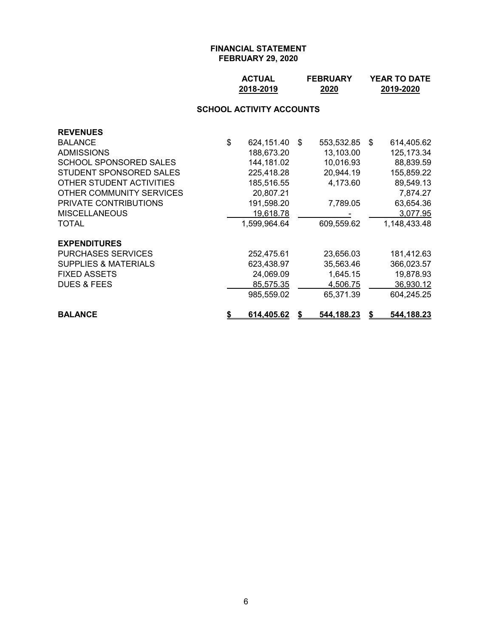| <b>ACTUAL</b> | <b>FEBRUARY</b> | <b>YEAR TO DATE</b> |
|---------------|-----------------|---------------------|
| 2018-2019     | 2020            | 2019-2020           |

# **SCHOOL ACTIVITY ACCOUNTS**

| <b>REVENUES</b>                 |    |                   |                   |      |              |
|---------------------------------|----|-------------------|-------------------|------|--------------|
| <b>BALANCE</b>                  | \$ | 624,151.40        | \$<br>553,532.85  | - \$ | 614,405.62   |
| <b>ADMISSIONS</b>               |    | 188,673.20        | 13,103.00         |      | 125, 173.34  |
| SCHOOL SPONSORED SALES          |    | 144, 181.02       | 10,016.93         |      | 88,839.59    |
| STUDENT SPONSORED SALES         |    | 225,418.28        | 20,944.19         |      | 155,859.22   |
| OTHER STUDENT ACTIVITIES        |    | 185,516.55        | 4,173.60          |      | 89,549.13    |
| OTHER COMMUNITY SERVICES        |    | 20,807.21         |                   |      | 7,874.27     |
| <b>PRIVATE CONTRIBUTIONS</b>    |    | 191,598.20        | 7,789.05          |      | 63,654.36    |
| <b>MISCELLANEOUS</b>            |    | 19,618.78         |                   |      | 3,077.95     |
| <b>TOTAL</b>                    |    | 1,599,964.64      | 609,559.62        |      | 1,148,433.48 |
| <b>EXPENDITURES</b>             |    |                   |                   |      |              |
| <b>PURCHASES SERVICES</b>       |    | 252,475.61        | 23,656.03         |      | 181,412.63   |
| <b>SUPPLIES &amp; MATERIALS</b> |    | 623,438.97        | 35,563.46         |      | 366,023.57   |
| <b>FIXED ASSETS</b>             |    | 24,069.09         | 1,645.15          |      | 19,878.93    |
| <b>DUES &amp; FEES</b>          |    | 85,575.35         | 4,506.75          |      | 36,930.12    |
|                                 |    | 985,559.02        | 65,371.39         |      | 604,245.25   |
| <b>BALANCE</b>                  | S. | <u>614,405.62</u> | <u>544,188.23</u> | S    | 544,188.23   |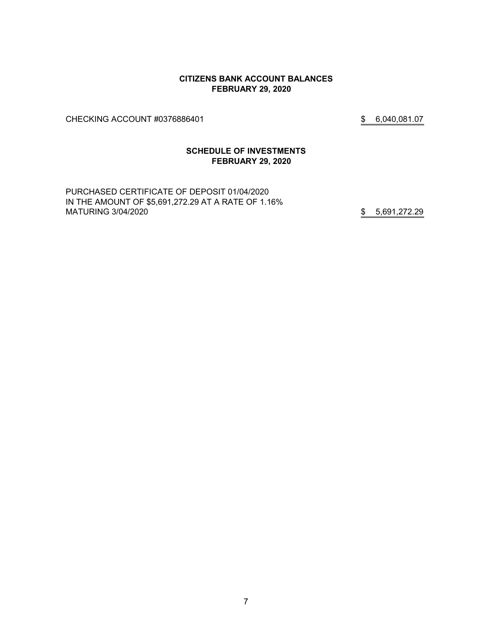#### **CITIZENS BANK ACCOUNT BALANCES FEBRUARY 29, 2020**

CHECKING ACCOUNT #0376886401 \$ 6,040,081.07

# **SCHEDULE OF INVESTMENTS FEBRUARY 29, 2020**

PURCHASED CERTIFICATE OF DEPOSIT 01/04/2020 IN THE AMOUNT OF \$5,691,272.29 AT A RATE OF 1.16% MATURING 3/04/2020 \$5,691,272.29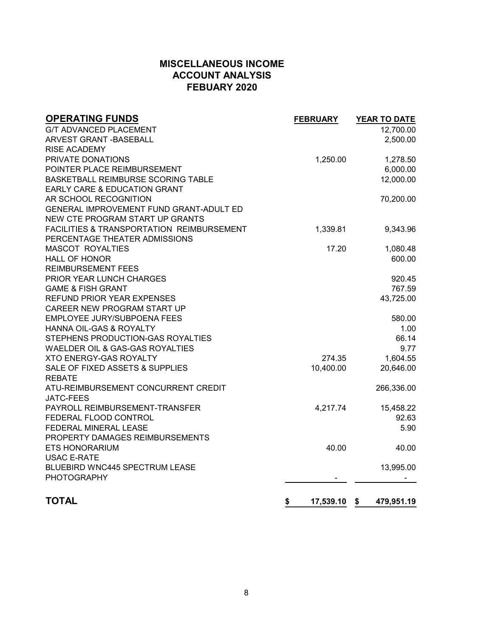# **MISCELLANEOUS INCOME ACCOUNT ANALYSIS FEBUARY 2020**

| <b>OPERATING FUNDS</b>                    | <b>FEBRUARY</b> | <b>YEAR TO DATE</b> |
|-------------------------------------------|-----------------|---------------------|
| <b>G/T ADVANCED PLACEMENT</b>             |                 | 12,700.00           |
| <b>ARVEST GRANT - BASEBALL</b>            |                 | 2,500.00            |
| <b>RISE ACADEMY</b>                       |                 |                     |
| PRIVATE DONATIONS                         | 1,250.00        | 1,278.50            |
| POINTER PLACE REIMBURSEMENT               |                 | 6,000.00            |
| BASKETBALL REIMBURSE SCORING TABLE        |                 | 12,000.00           |
| EARLY CARE & EDUCATION GRANT              |                 |                     |
| AR SCHOOL RECOGNITION                     |                 | 70,200.00           |
| GENERAL IMPROVEMENT FUND GRANT-ADULT ED   |                 |                     |
| NEW CTE PROGRAM START UP GRANTS           |                 |                     |
| FACILITIES & TRANSPORTATION REIMBURSEMENT | 1,339.81        | 9,343.96            |
| PERCENTAGE THEATER ADMISSIONS             |                 |                     |
| <b>MASCOT ROYALTIES</b>                   | 17.20           | 1,080.48            |
| <b>HALL OF HONOR</b>                      |                 | 600.00              |
| <b>REIMBURSEMENT FEES</b>                 |                 |                     |
| PRIOR YEAR LUNCH CHARGES                  |                 | 920.45              |
| <b>GAME &amp; FISH GRANT</b>              |                 | 767.59              |
| REFUND PRIOR YEAR EXPENSES                |                 | 43,725.00           |
| CAREER NEW PROGRAM START UP               |                 |                     |
| <b>EMPLOYEE JURY/SUBPOENA FEES</b>        |                 | 580.00              |
| HANNA OIL-GAS & ROYALTY                   |                 | 1.00                |
| STEPHENS PRODUCTION-GAS ROYALTIES         |                 | 66.14               |
| WAELDER OIL & GAS-GAS ROYALTIES           |                 | 9.77                |
| <b>XTO ENERGY-GAS ROYALTY</b>             | 274.35          | 1,604.55            |
| SALE OF FIXED ASSETS & SUPPLIES           | 10,400.00       | 20,646.00           |
| <b>REBATE</b>                             |                 |                     |
| ATU-REIMBURSEMENT CONCURRENT CREDIT       |                 | 266,336.00          |
| <b>JATC-FEES</b>                          |                 |                     |
| PAYROLL REIMBURSEMENT-TRANSFER            | 4,217.74        | 15,458.22           |
| FEDERAL FLOOD CONTROL                     |                 | 92.63               |
| FEDERAL MINERAL LEASE                     |                 | 5.90                |
| PROPERTY DAMAGES REIMBURSEMENTS           |                 |                     |
| <b>ETS HONORARIUM</b>                     | 40.00           | 40.00               |
| <b>USAC E-RATE</b>                        |                 |                     |
| BLUEBIRD WNC445 SPECTRUM LEASE            |                 | 13,995.00           |
| <b>PHOTOGRAPHY</b>                        |                 |                     |
| <b>TOTAL</b>                              | \$<br>17,539.10 | \$<br>479,951.19    |